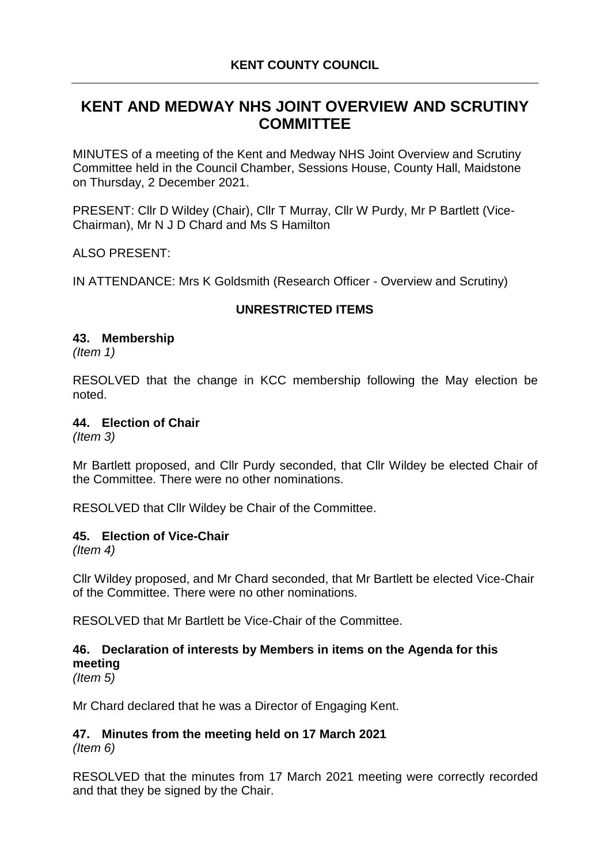# **KENT AND MEDWAY NHS JOINT OVERVIEW AND SCRUTINY COMMITTEE**

MINUTES of a meeting of the Kent and Medway NHS Joint Overview and Scrutiny Committee held in the Council Chamber, Sessions House, County Hall, Maidstone on Thursday, 2 December 2021.

PRESENT: Cllr D Wildey (Chair), Cllr T Murray, Cllr W Purdy, Mr P Bartlett (Vice-Chairman), Mr N J D Chard and Ms S Hamilton

ALSO PRESENT:

IN ATTENDANCE: Mrs K Goldsmith (Research Officer - Overview and Scrutiny)

# **UNRESTRICTED ITEMS**

#### **43. Membership**

*(Item 1)*

RESOLVED that the change in KCC membership following the May election be noted.

### **44. Election of Chair**

*(Item 3)*

Mr Bartlett proposed, and Cllr Purdy seconded, that Cllr Wildey be elected Chair of the Committee. There were no other nominations.

RESOLVED that Cllr Wildey be Chair of the Committee.

### **45. Election of Vice-Chair**

*(Item 4)*

Cllr Wildey proposed, and Mr Chard seconded, that Mr Bartlett be elected Vice-Chair of the Committee. There were no other nominations.

RESOLVED that Mr Bartlett be Vice-Chair of the Committee.

# **46. Declaration of interests by Members in items on the Agenda for this meeting**

*(Item 5)*

Mr Chard declared that he was a Director of Engaging Kent.

#### **47. Minutes from the meeting held on 17 March 2021** *(Item 6)*

RESOLVED that the minutes from 17 March 2021 meeting were correctly recorded and that they be signed by the Chair.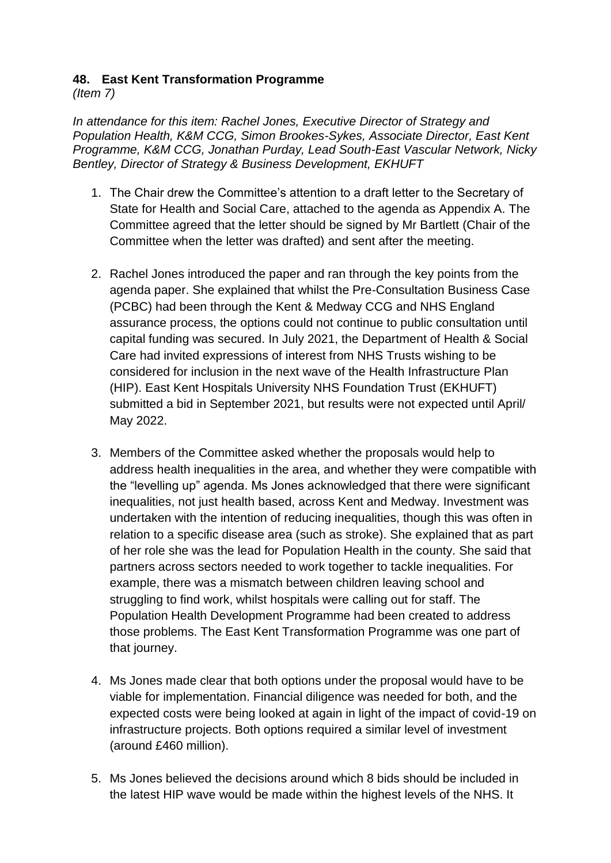# **48. East Kent Transformation Programme**

*(Item 7)*

*In attendance for this item: Rachel Jones, Executive Director of Strategy and Population Health, K&M CCG, Simon Brookes-Sykes, Associate Director, East Kent Programme, K&M CCG, Jonathan Purday, Lead South-East Vascular Network, Nicky Bentley, Director of Strategy & Business Development, EKHUFT* 

- 1. The Chair drew the Committee's attention to a draft letter to the Secretary of State for Health and Social Care, attached to the agenda as Appendix A. The Committee agreed that the letter should be signed by Mr Bartlett (Chair of the Committee when the letter was drafted) and sent after the meeting.
- 2. Rachel Jones introduced the paper and ran through the key points from the agenda paper. She explained that whilst the Pre-Consultation Business Case (PCBC) had been through the Kent & Medway CCG and NHS England assurance process, the options could not continue to public consultation until capital funding was secured. In July 2021, the Department of Health & Social Care had invited expressions of interest from NHS Trusts wishing to be considered for inclusion in the next wave of the Health Infrastructure Plan (HIP). East Kent Hospitals University NHS Foundation Trust (EKHUFT) submitted a bid in September 2021, but results were not expected until April/ May 2022.
- 3. Members of the Committee asked whether the proposals would help to address health inequalities in the area, and whether they were compatible with the "levelling up" agenda. Ms Jones acknowledged that there were significant inequalities, not just health based, across Kent and Medway. Investment was undertaken with the intention of reducing inequalities, though this was often in relation to a specific disease area (such as stroke). She explained that as part of her role she was the lead for Population Health in the county. She said that partners across sectors needed to work together to tackle inequalities. For example, there was a mismatch between children leaving school and struggling to find work, whilst hospitals were calling out for staff. The Population Health Development Programme had been created to address those problems. The East Kent Transformation Programme was one part of that journey.
- 4. Ms Jones made clear that both options under the proposal would have to be viable for implementation. Financial diligence was needed for both, and the expected costs were being looked at again in light of the impact of covid-19 on infrastructure projects. Both options required a similar level of investment (around £460 million).
- 5. Ms Jones believed the decisions around which 8 bids should be included in the latest HIP wave would be made within the highest levels of the NHS. It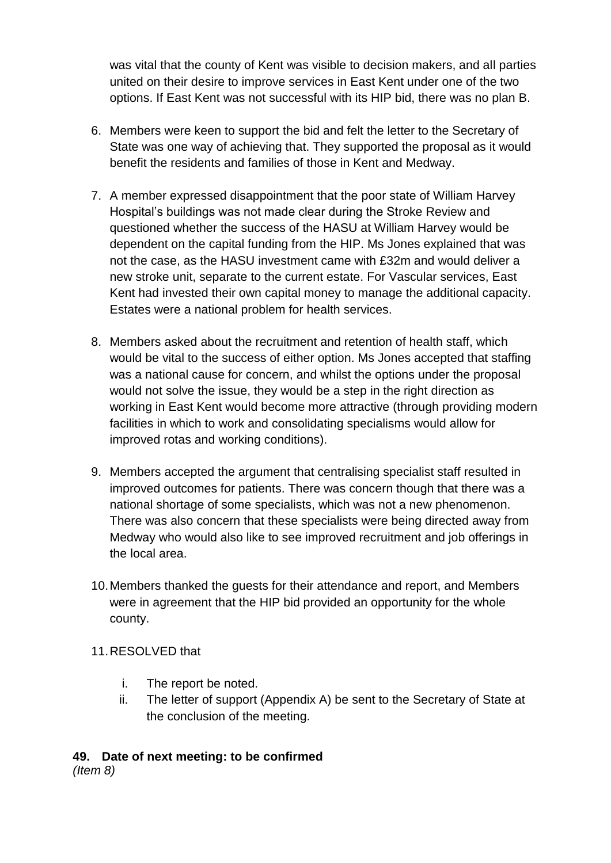was vital that the county of Kent was visible to decision makers, and all parties united on their desire to improve services in East Kent under one of the two options. If East Kent was not successful with its HIP bid, there was no plan B.

- 6. Members were keen to support the bid and felt the letter to the Secretary of State was one way of achieving that. They supported the proposal as it would benefit the residents and families of those in Kent and Medway.
- 7. A member expressed disappointment that the poor state of William Harvey Hospital's buildings was not made clear during the Stroke Review and questioned whether the success of the HASU at William Harvey would be dependent on the capital funding from the HIP. Ms Jones explained that was not the case, as the HASU investment came with £32m and would deliver a new stroke unit, separate to the current estate. For Vascular services, East Kent had invested their own capital money to manage the additional capacity. Estates were a national problem for health services.
- 8. Members asked about the recruitment and retention of health staff, which would be vital to the success of either option. Ms Jones accepted that staffing was a national cause for concern, and whilst the options under the proposal would not solve the issue, they would be a step in the right direction as working in East Kent would become more attractive (through providing modern facilities in which to work and consolidating specialisms would allow for improved rotas and working conditions).
- 9. Members accepted the argument that centralising specialist staff resulted in improved outcomes for patients. There was concern though that there was a national shortage of some specialists, which was not a new phenomenon. There was also concern that these specialists were being directed away from Medway who would also like to see improved recruitment and job offerings in the local area.
- 10.Members thanked the guests for their attendance and report, and Members were in agreement that the HIP bid provided an opportunity for the whole county.
- 11.RESOLVED that
	- i. The report be noted.
	- ii. The letter of support (Appendix A) be sent to the Secretary of State at the conclusion of the meeting.

#### **49. Date of next meeting: to be confirmed** *(Item 8)*